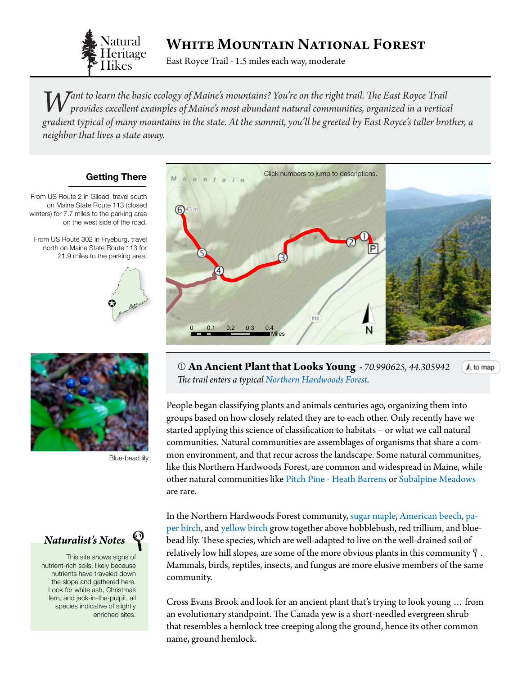

## White Mountain National Forest

East Royce Trail - 1.5 miles each way, moderate

*Want to learn the basic ecology of Maine's mountains? You're on the right trail. The East Royce Trail provides excellent examples of Maine's most abundant natural communities, organized in a vertical x and in the gradient typical of many mountains in the state. At the summit, you'll be greeted by East Royce's taller brother, a neighbor that lives a state away.* 

### **Getting There**

From US Route 2 in Gilead, travel south on Maine State Route 113 (closed winters) for 7.7 miles to the parking area on the west side of the road.

From US Route 302 in Fryeburg, travel north on Maine State Route 113 for 21.9 miles to the parking area.





Blue-bead lily



This site shows signs of nutrient-rich soils, likely because nutrients have traveled down the slope and gathered here. Look for white ash, Christmas fern, and jack-in-the-pulpit, all species indicative of slightly enriched sites.

<span id="page-0-0"></span>

 **An Ancient Plant that Looks Young -** *70.990625, 44.30594[2](#page-0-0)*  $A$  to map *The trail enters a typical [Northern Hardwoods Forest.](http://www.maine.gov/dacf/mnap/features/communities/beechbirchmap.htm)*

People began classifying plants and animals centuries ago, organizing them into groups based on how closely related they are to each other. Only recently have we started applying this science of classification to habitats – or what we call natural communities. Natural communities are assemblages of organisms that share a common environment, and that recur across the landscape. Some natural communities, like this Northern Hardwoods Forest, are common and widespread in Maine, while other natural communities like [Pitch Pine - Heath Barrens](http://www.maine.gov/dacf/mnap/features/communities/pitchpineheathbarren.htm) or [Subalpine Meadows](http://www.maine.gov/dacf/mnap/features/communities/subalpinemeadow.htm)  [are rare](http://www.maine.gov/dacf/mnap/features/communities/subalpinemeadow.htm).

In the Northern Hardwoods Forest community, [sugar maple](http://dendro.cnre.vt.edu/dendrology/syllabus/factsheet.cfm?ID=2), [American beech,](http://dendro.cnre.vt.edu/dendrology/syllabus/factsheet.cfm?ID=47) [pa](http://dendro.cnre.vt.edu/dendrology/syllabus/factsheet.cfm?ID=14)[per birch,](http://dendro.cnre.vt.edu/dendrology/syllabus/factsheet.cfm?ID=14) and [yellow birch](http://dendro.cnre.vt.edu/dendrology/syllabus/factsheet.cfm?ID=12) grow together above hobblebush, red trillium, and bluebead lily. These species, which are well-adapted to live on the well-drained soil of relatively low hill slopes, are some of the more obvious plants in this community  $\mathfrak q$  . Mammals, birds, reptiles, insects, and fungus are more elusive members of the same community.

Cross Evans Brook and look for an ancient plant that's trying to look young … from an evolutionary standpoint. The Canada yew is a short-needled evergreen shrub that resembles a hemlock tree creeping along the ground, hence its other common name, ground hemlock.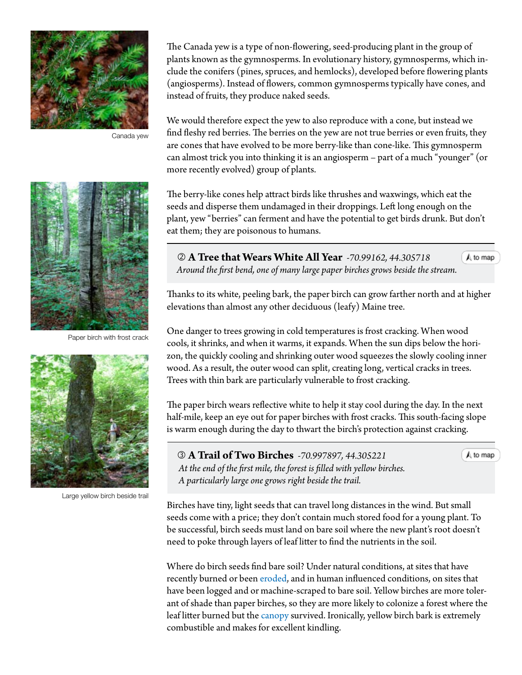

Canada yew

Paper birch with frost crack



Large yellow birch beside trail

The Canada yew is a type of non-flowering, seed-producing plant in the group of plants known as the gymnosperms. In evolutionary history, gymnosperms, which include the conifers (pines, spruces, and hemlocks), developed before flowering plants (angiosperms). Instead of flowers, common gymnosperms typically have cones, and instead of fruits, they produce naked seeds.

We would therefore expect the yew to also reproduce with a cone, but instead we find fleshy red berries. The berries on the yew are not true berries or even fruits, they are cones that have evolved to be more berry-like than cone-like. This gymnosperm can almost trick you into thinking it is an angiosperm – part of a much "younger" (or more recently evolved) group of plants.

The berry-like cones help attract birds like thrushes and waxwings, which eat the seeds and disperse them undamaged in their droppings. Left long enough on the plant, yew "berries" can ferment and have the potential to get birds drunk. But don't eat them; they are poisonous to humans.

 **A Tree that Wears White All Year** *-70.99162, 44.305718 Around the first bend, one of many large paper birches grows beside the stre[am.](#page-0-0)*

A to map

 $A$  to map

Thanks to its white, peeling bark, the paper birch can grow farther north and at higher elevations than almost any other deciduous (leafy) Maine tree.

One danger to trees growing in cold temperatures is frost cracking. When wood cools, it shrinks, and when it warms, it expands. When the sun dips below the horizon, the quickly cooling and shrinking outer wood squeezes the slowly cooling inner wood. As a result, the outer wood can split, creating long, vertical cracks in trees. Trees with thin bark are particularly vulnerable to frost cracking.

The paper birch wears reflective white to help it stay cool during the day. In the next half-mile, keep an eye out for paper birches with frost cracks. This south-facing slope is warm enough during the day to thwart the birch's protection against cracking.

 **A Trail of Two Birches** *-70.997897, 44.305221 At the end of the first mile, the forest is filled with yellow birches. A particularly large one grows right beside the trail.*

Birches have tiny, light seeds that can travel long distances in the wind. But small seeds come with a price; they don't contain much stored food for a young plant. To be successful, birch seeds must land on bare soil where the new plant's root doesn't need to poke through layers of leaf litter to find the nutrients in the soil.

Where do birch seeds find bare soil? Under natural conditions, at sites that have recently burned or been [eroded,](#page-3-0) and in human influenced conditions, on sites that have been logged and or machine-scraped to bare soil. Yellow birches are more tolerant of shade than paper birches, so they are more likely to colonize a forest where the leaf litter burned but the [canopy](#page-3-0) survived. Ironically, yellow birch bark is extremely combustible and makes for excellent kindling.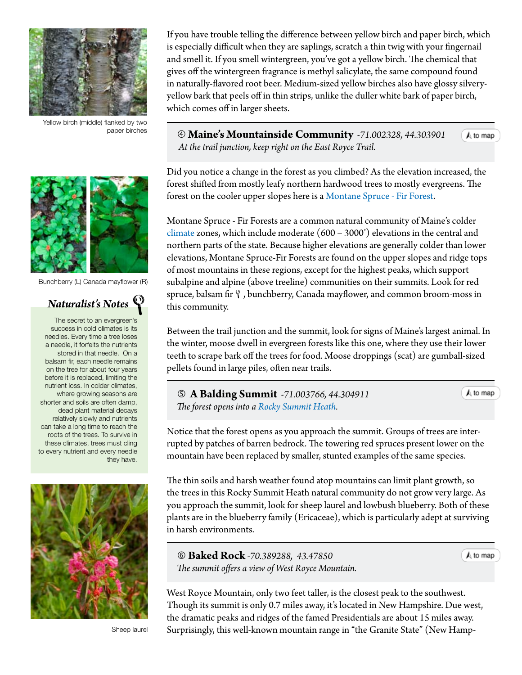

Yellow birch (middle) flanked by two paper birches

If you have trouble telling the difference between yellow birch and paper birch, which is especially difficult when they are saplings, scratch a thin twig with your fingernail and smell it. If you smell wintergreen, you've got a yellow birch. The chemical that gives off the wintergreen fragrance is methyl salicylate, the same compound found in naturally-flavored root beer. Medium-sized yellow birches also have glossy silveryyellow bark that peels off in thin strips, unlike the duller white bark of paper birch, which comes off in larger sheets.

 **Maine's Mountainside Community** *-71.002328, 44.303901 At the trail junction, keep right on the East Royce Trail.*

Did you notice a change in the forest as you climbed? As the elevation increased, the forest shifted from mostly leafy northern hardwood trees to mostly evergreens. The forest on the cooler upper slopes here is a [Montane Spruce - Fir Forest](http://www.maine.gov/dacf/mnap/features/communities/montanesprucefirforest.htm).

Montane Spruce - Fir Forests are a common natural community of Maine's colder [climate](#page-3-0) zones, which include moderate (600 – 3000') elevations in the central and northern parts of the state. Because higher elevations are generally colder than lower elevations, Montane Spruce-Fir Forests are found on the upper slopes and ridge tops of most mountains in these regions, except for the highest peaks, which support subalpine and alpine (above treeline) communities on their summits. Look for red spruce, balsam fir  $\mathcal{P}$ , bunchberry, Canada mayflower, and common broom-moss in this community.

Between the trail junction and the summit, look for signs of Maine's largest animal. In the winter, moose dwell in evergreen forests like this one, where they use their lower teeth to scrape bark off the trees for food. Moose droppings (scat) are gumball-sized pellets found in large piles, often near trails.

 **A Balding Summit** *-71.003766, 44.304911 The forest opens into a [Rocky Summit Heath](http://www.maine.gov/dacf/mnap/features/communities/rockysummitheath.htm).*

 $A$  to map

A to map

Notice that the forest opens as you approach the summit. Groups of trees are interrupted by patches of barren bedrock. The towering red spruces present lower on the mountain have been replaced by smaller, stunted examples of the same species.

The thin soils and harsh weather found atop mountains can limit plant growth, so the trees in this [Rocky Summit Heath](http://www.maine.gov/dacf/mnap/features/communities/rockysummitheath.htm ) natural community do not grow very large. As you approach the summit, look for sheep laurel and lowbush blueberry. Both of these plants are in the blueberry family (Ericaceae), which is particularly adept at surviving in harsh environments.

 **Baked Rock** *-70.389288, 43.47850 The summit offers a view of West Royce Mountain.*  $A$  to map

West Royce Mountain, only two feet taller, is the closest peak to the southwest. Though its summit is only 0.7 miles away, it's located in New Hampshire. Due west, the dramatic peaks and ridges of the famed Presidentials are about 15 miles away. Surprisingly, this well-known mountain range in "the Granite State" (New Hamp-



Bunchberry (L) Canada mayflower (R)

# *Naturalist's Notes*

The secret to an evergreen's success in cold climates is its needles. Every time a tree loses a needle, it forfeits the nutrients stored in that needle. On a balsam fir, each needle remains on the tree for about four years before it is replaced, limiting the nutrient loss. In colder climates, where growing seasons are shorter and soils are often damp, dead plant material decays relatively slowly and nutrients can take a long time to reach the roots of the trees. To survive in these climates, trees must cling to every nutrient and every needle they have.



Sheep laurel